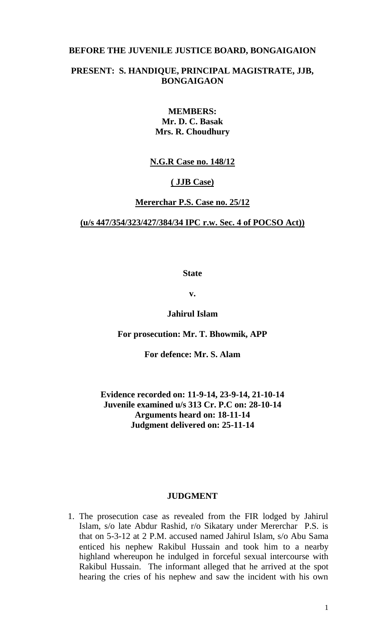## **BEFORE THE JUVENILE JUSTICE BOARD, BONGAIGAION**

# **PRESENT: S. HANDIQUE, PRINCIPAL MAGISTRATE, JJB, BONGAIGAON**

## **MEMBERS: Mr. D. C. Basak Mrs. R. Choudhury**

## **N.G.R Case no. 148/12**

## **( JJB Case)**

## **Mererchar P.S. Case no. 25/12**

## **(u/s 447/354/323/427/384/34 IPC r.w. Sec. 4 of POCSO Act))**

**State**

**v.**

# **Jahirul Islam**

### **For prosecution: Mr. T. Bhowmik, APP**

**For defence: Mr. S. Alam**

# **Evidence recorded on: 11-9-14, 23-9-14, 21-10-14 Juvenile examined u/s 313 Cr. P.C on: 28-10-14 Arguments heard on: 18-11-14 Judgment delivered on: 25-11-14**

#### **JUDGMENT**

1. The prosecution case as revealed from the FIR lodged by Jahirul Islam, s/o late Abdur Rashid, r/o Sikatary under Mererchar P.S. is that on 5-3-12 at 2 P.M. accused named Jahirul Islam, s/o Abu Sama enticed his nephew Rakibul Hussain and took him to a nearby highland whereupon he indulged in forceful sexual intercourse with Rakibul Hussain. The informant alleged that he arrived at the spot hearing the cries of his nephew and saw the incident with his own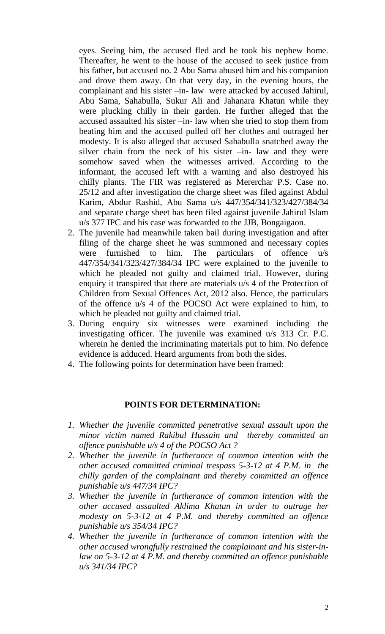eyes. Seeing him, the accused fled and he took his nephew home. Thereafter, he went to the house of the accused to seek justice from his father, but accused no. 2 Abu Sama abused him and his companion and drove them away. On that very day, in the evening hours, the complainant and his sister –in- law were attacked by accused Jahirul, Abu Sama, Sahabulla, Sukur Ali and Jahanara Khatun while they were plucking chilly in their garden. He further alleged that the accused assaulted his sister –in- law when she tried to stop them from beating him and the accused pulled off her clothes and outraged her modesty. It is also alleged that accused Sahabulla snatched away the silver chain from the neck of his sister –in- law and they were somehow saved when the witnesses arrived. According to the informant, the accused left with a warning and also destroyed his chilly plants. The FIR was registered as Mererchar P.S. Case no. 25/12 and after investigation the charge sheet was filed against Abdul Karim, Abdur Rashid, Abu Sama u/s 447/354/341/323/427/384/34 and separate charge sheet has been filed against juvenile Jahirul Islam u/s 377 IPC and his case was forwarded to the JJB, Bongaigaon.

- 2. The juvenile had meanwhile taken bail during investigation and after filing of the charge sheet he was summoned and necessary copies were furnished to him. The particulars of offence u/s 447/354/341/323/427/384/34 IPC were explained to the juvenile to which he pleaded not guilty and claimed trial. However, during enquiry it transpired that there are materials u/s 4 of the Protection of Children from Sexual Offences Act, 2012 also. Hence, the particulars of the offence u/s 4 of the POCSO Act were explained to him, to which he pleaded not guilty and claimed trial.
- 3. During enquiry six witnesses were examined including the investigating officer. The juvenile was examined u/s 313 Cr. P.C. wherein he denied the incriminating materials put to him. No defence evidence is adduced. Heard arguments from both the sides.
- 4. The following points for determination have been framed:

### **POINTS FOR DETERMINATION:**

- *1. Whether the juvenile committed penetrative sexual assault upon the minor victim named Rakibul Hussain and thereby committed an offence punishable u/s 4 of the POCSO Act ?*
- *2. Whether the juvenile in furtherance of common intention with the other accused committed criminal trespass 5-3-12 at 4 P.M. in the chilly garden of the complainant and thereby committed an offence punishable u/s 447/34 IPC?*
- *3. Whether the juvenile in furtherance of common intention with the other accused assaulted Aklima Khatun in order to outrage her modesty on 5-3-12 at 4 P.M. and thereby committed an offence punishable u/s 354/34 IPC?*
- *4. Whether the juvenile in furtherance of common intention with the other accused wrongfully restrained the complainant and his sister-inlaw on 5-3-12 at 4 P.M. and thereby committed an offence punishable u/s 341/34 IPC?*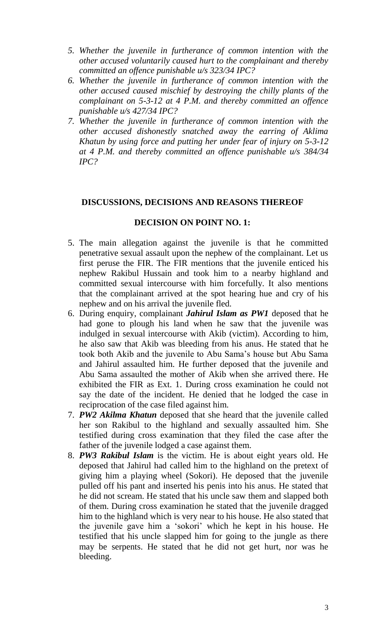- *5. Whether the juvenile in furtherance of common intention with the other accused voluntarily caused hurt to the complainant and thereby committed an offence punishable u/s 323/34 IPC?*
- *6. Whether the juvenile in furtherance of common intention with the other accused caused mischief by destroying the chilly plants of the complainant on 5-3-12 at 4 P.M. and thereby committed an offence punishable u/s 427/34 IPC?*
- *7. Whether the juvenile in furtherance of common intention with the other accused dishonestly snatched away the earring of Aklima Khatun by using force and putting her under fear of injury on 5-3-12 at 4 P.M. and thereby committed an offence punishable u/s 384/34 IPC?*

## **DISCUSSIONS, DECISIONS AND REASONS THEREOF**

### **DECISION ON POINT NO. 1:**

- 5. The main allegation against the juvenile is that he committed penetrative sexual assault upon the nephew of the complainant. Let us first peruse the FIR. The FIR mentions that the juvenile enticed his nephew Rakibul Hussain and took him to a nearby highland and committed sexual intercourse with him forcefully. It also mentions that the complainant arrived at the spot hearing hue and cry of his nephew and on his arrival the juvenile fled.
- 6. During enquiry, complainant *Jahirul Islam as PW1* deposed that he had gone to plough his land when he saw that the juvenile was indulged in sexual intercourse with Akib (victim). According to him, he also saw that Akib was bleeding from his anus. He stated that he took both Akib and the juvenile to Abu Sama's house but Abu Sama and Jahirul assaulted him. He further deposed that the juvenile and Abu Sama assaulted the mother of Akib when she arrived there. He exhibited the FIR as Ext. 1. During cross examination he could not say the date of the incident. He denied that he lodged the case in reciprocation of the case filed against him.
- 7. *PW2 Akilma Khatun* deposed that she heard that the juvenile called her son Rakibul to the highland and sexually assaulted him. She testified during cross examination that they filed the case after the father of the juvenile lodged a case against them.
- 8. *PW3 Rakibul Islam* is the victim. He is about eight years old. He deposed that Jahirul had called him to the highland on the pretext of giving him a playing wheel (Sokori). He deposed that the juvenile pulled off his pant and inserted his penis into his anus. He stated that he did not scream. He stated that his uncle saw them and slapped both of them. During cross examination he stated that the juvenile dragged him to the highland which is very near to his house. He also stated that the juvenile gave him a 'sokori' which he kept in his house. He testified that his uncle slapped him for going to the jungle as there may be serpents. He stated that he did not get hurt, nor was he bleeding.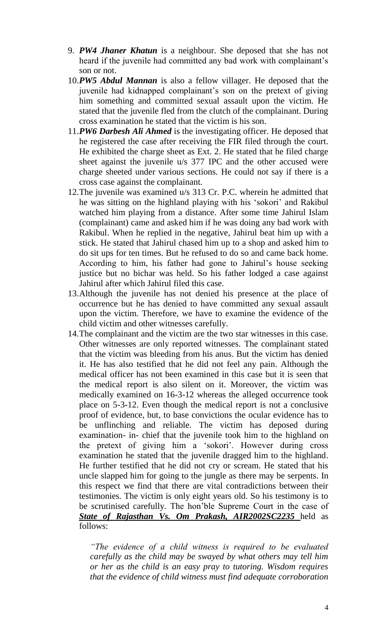- 9. *PW4 Jhaner Khatun* is a neighbour. She deposed that she has not heard if the juvenile had committed any bad work with complainant's son or not.
- 10.*PW5 Abdul Mannan* is also a fellow villager. He deposed that the juvenile had kidnapped complainant's son on the pretext of giving him something and committed sexual assault upon the victim. He stated that the juvenile fled from the clutch of the complainant. During cross examination he stated that the victim is his son.
- 11.*PW6 Darbesh Ali Ahmed* is the investigating officer. He deposed that he registered the case after receiving the FIR filed through the court. He exhibited the charge sheet as Ext. 2. He stated that he filed charge sheet against the juvenile u/s 377 IPC and the other accused were charge sheeted under various sections. He could not say if there is a cross case against the complainant.
- 12.The juvenile was examined u/s 313 Cr. P.C. wherein he admitted that he was sitting on the highland playing with his 'sokori' and Rakibul watched him playing from a distance. After some time Jahirul Islam (complainant) came and asked him if he was doing any bad work with Rakibul. When he replied in the negative, Jahirul beat him up with a stick. He stated that Jahirul chased him up to a shop and asked him to do sit ups for ten times. But he refused to do so and came back home. According to him, his father had gone to Jahirul's house seeking justice but no bichar was held. So his father lodged a case against Jahirul after which Jahirul filed this case.
- 13.Although the juvenile has not denied his presence at the place of occurrence but he has denied to have committed any sexual assault upon the victim. Therefore, we have to examine the evidence of the child victim and other witnesses carefully.
- 14.The complainant and the victim are the two star witnesses in this case. Other witnesses are only reported witnesses. The complainant stated that the victim was bleeding from his anus. But the victim has denied it. He has also testified that he did not feel any pain. Although the medical officer has not been examined in this case but it is seen that the medical report is also silent on it. Moreover, the victim was medically examined on 16-3-12 whereas the alleged occurrence took place on 5-3-12. Even though the medical report is not a conclusive proof of evidence, but, to base convictions the ocular evidence has to be unflinching and reliable. The victim has deposed during examination- in- chief that the juvenile took him to the highland on the pretext of giving him a 'sokori'. However during cross examination he stated that the juvenile dragged him to the highland. He further testified that he did not cry or scream. He stated that his uncle slapped him for going to the jungle as there may be serpents. In this respect we find that there are vital contradictions between their testimonies. The victim is only eight years old. So his testimony is to be scrutinised carefully. The hon'ble Supreme Court in the case of *State of Rajasthan Vs. Om Prakash, AIR2002SC2235* held as follows:

*"The evidence of a child witness is required to be evaluated carefully as the child may be swayed by what others may tell him or her as the child is an easy pray to tutoring. Wisdom requires that the evidence of child witness must find adequate corroboration*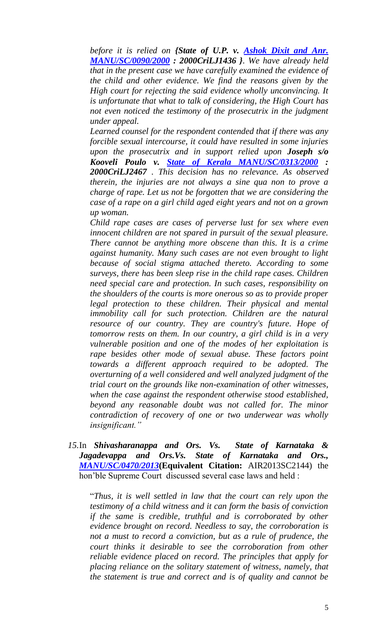*before it is relied on {State of U.P. v. Ashok Dixit and Anr. [MANU/SC/0090/2000](javascript:fnOpenGlobalPopUp() : 2000CriLJ1436 }. We have already held that in the present case we have carefully examined the evidence of the child and other evidence. We find the reasons given by the High court for rejecting the said evidence wholly unconvincing. It is unfortunate that what to talk of considering, the High Court has not even noticed the testimony of the prosecutrix in the judgment under appeal.*

*Learned counsel for the respondent contended that if there was any forcible sexual intercourse, it could have resulted in some injuries upon the prosecutrix and in support relied upon Joseph s/o Kooveli Poulo v. [State of Kerala MANU/SC/0313/2000](javascript:fnOpenGlobalPopUp() : 2000CriLJ2467 . This decision has no relevance. As observed therein, the injuries are not always a sine qua non to prove a charge of rape. Let us not be forgotten that we are considering the case of a rape on a girl child aged eight years and not on a grown up woman.*

*Child rape cases are cases of perverse lust for sex where even innocent children are not spared in pursuit of the sexual pleasure. There cannot be anything more obscene than this. It is a crime against humanity. Many such cases are not even brought to light because of social stigma attached thereto. According to some surveys, there has been sleep rise in the child rape cases. Children need special care and protection. In such cases, responsibility on the shoulders of the courts is more onerous so as to provide proper legal protection to these children. Their physical and mental immobility call for such protection. Children are the natural resource of our country. They are country's future. Hope of tomorrow rests on them. In our country, a girl child is in a very vulnerable position and one of the modes of her exploitation is rape besides other mode of sexual abuse. These factors point towards a different approach required to be adopted. The overturning of a well considered and well analyzed judgment of the trial court on the grounds like non-examination of other witnesses, when the case against the respondent otherwise stood established, beyond any reasonable doubt was not called for. The minor contradiction of recovery of one or two underwear was wholly insignificant."*

*15.*In *Shivasharanappa and Ors. Vs. State of Karnataka & Jagadevappa and Ors.Vs. State of Karnataka and Ors., [MANU/SC/0470/2013](javascript:fnCitation()***(Equivalent Citation:** AIR2013SC2144) the hon'ble Supreme Court discussed several case laws and held :

"*Thus, it is well settled in law that the court can rely upon the testimony of a child witness and it can form the basis of conviction if the same is credible, truthful and is corroborated by other evidence brought on record. Needless to say, the corroboration is not a must to record a conviction, but as a rule of prudence, the court thinks it desirable to see the corroboration from other reliable evidence placed on record. The principles that apply for placing reliance on the solitary statement of witness, namely, that the statement is true and correct and is of quality and cannot be*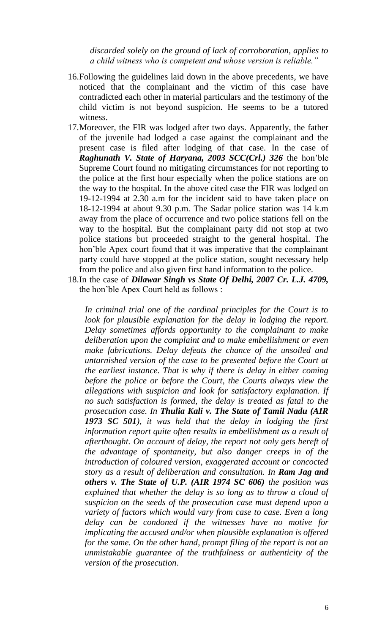*discarded solely on the ground of lack of corroboration, applies to a child witness who is competent and whose version is reliable."*

- 16.Following the guidelines laid down in the above precedents, we have noticed that the complainant and the victim of this case have contradicted each other in material particulars and the testimony of the child victim is not beyond suspicion. He seems to be a tutored witness.
- 17.Moreover, the FIR was lodged after two days. Apparently, the father of the juvenile had lodged a case against the complainant and the present case is filed after lodging of that case. In the case of *Raghunath V. State of Haryana, 2003 SCC(Crl.) 326* the hon'ble Supreme Court found no mitigating circumstances for not reporting to the police at the first hour especially when the police stations are on the way to the hospital. In the above cited case the FIR was lodged on 19-12-1994 at 2.30 a.m for the incident said to have taken place on 18-12-1994 at about 9.30 p.m. The Sadar police station was 14 k.m away from the place of occurrence and two police stations fell on the way to the hospital. But the complainant party did not stop at two police stations but proceeded straight to the general hospital. The hon'ble Apex court found that it was imperative that the complainant party could have stopped at the police station, sought necessary help from the police and also given first hand information to the police.
- 18.In the case of *Dilawar Singh vs State Of Delhi, 2007 Cr. L.J. 4709,* the hon'ble Apex Court held as follows :

*In criminal trial one of the cardinal principles for the Court is to*  look for plausible explanation for the delay in lodging the report. *Delay sometimes affords opportunity to the complainant to make deliberation upon the complaint and to make embellishment or even make fabrications. Delay defeats the chance of the unsoiled and untarnished version of the case to be presented before the Court at the earliest instance. That is why if there is delay in either coming before the police or before the Court, the Courts always view the allegations with suspicion and look for satisfactory explanation. If no such satisfaction is formed, the delay is treated as fatal to the prosecution case. In Thulia Kali v. The State of Tamil Nadu (AIR 1973 SC 501), it was held that the delay in lodging the first information report quite often results in embellishment as a result of afterthought. On account of delay, the report not only gets bereft of the advantage of spontaneity, but also danger creeps in of the introduction of coloured version, exaggerated account or concocted story as a result of deliberation and consultation. In Ram Jag and others v. The State of U.P. (AIR 1974 SC 606) the position was explained that whether the delay is so long as to throw a cloud of suspicion on the seeds of the prosecution case must depend upon a variety of factors which would vary from case to case. Even a long delay can be condoned if the witnesses have no motive for implicating the accused and/or when plausible explanation is offered for the same. On the other hand, prompt filing of the report is not an unmistakable guarantee of the truthfulness or authenticity of the version of the prosecution*.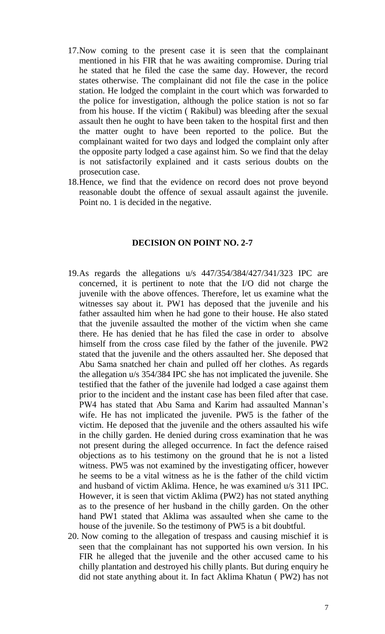- 17.Now coming to the present case it is seen that the complainant mentioned in his FIR that he was awaiting compromise. During trial he stated that he filed the case the same day. However, the record states otherwise. The complainant did not file the case in the police station. He lodged the complaint in the court which was forwarded to the police for investigation, although the police station is not so far from his house. If the victim ( Rakibul) was bleeding after the sexual assault then he ought to have been taken to the hospital first and then the matter ought to have been reported to the police. But the complainant waited for two days and lodged the complaint only after the opposite party lodged a case against him. So we find that the delay is not satisfactorily explained and it casts serious doubts on the prosecution case.
- 18.Hence, we find that the evidence on record does not prove beyond reasonable doubt the offence of sexual assault against the juvenile. Point no. 1 is decided in the negative.

#### **DECISION ON POINT NO. 2-7**

- 19.As regards the allegations u/s 447/354/384/427/341/323 IPC are concerned, it is pertinent to note that the I/O did not charge the juvenile with the above offences. Therefore, let us examine what the witnesses say about it. PW1 has deposed that the juvenile and his father assaulted him when he had gone to their house. He also stated that the juvenile assaulted the mother of the victim when she came there. He has denied that he has filed the case in order to absolve himself from the cross case filed by the father of the juvenile. PW2 stated that the juvenile and the others assaulted her. She deposed that Abu Sama snatched her chain and pulled off her clothes. As regards the allegation u/s 354/384 IPC she has not implicated the juvenile. She testified that the father of the juvenile had lodged a case against them prior to the incident and the instant case has been filed after that case. PW4 has stated that Abu Sama and Karim had assaulted Mannan's wife. He has not implicated the juvenile. PW5 is the father of the victim. He deposed that the juvenile and the others assaulted his wife in the chilly garden. He denied during cross examination that he was not present during the alleged occurrence. In fact the defence raised objections as to his testimony on the ground that he is not a listed witness. PW5 was not examined by the investigating officer, however he seems to be a vital witness as he is the father of the child victim and husband of victim Aklima. Hence, he was examined u/s 311 IPC. However, it is seen that victim Aklima (PW2) has not stated anything as to the presence of her husband in the chilly garden. On the other hand PW1 stated that Aklima was assaulted when she came to the house of the juvenile. So the testimony of PW5 is a bit doubtful.
- 20. Now coming to the allegation of trespass and causing mischief it is seen that the complainant has not supported his own version. In his FIR he alleged that the juvenile and the other accused came to his chilly plantation and destroyed his chilly plants. But during enquiry he did not state anything about it. In fact Aklima Khatun ( PW2) has not